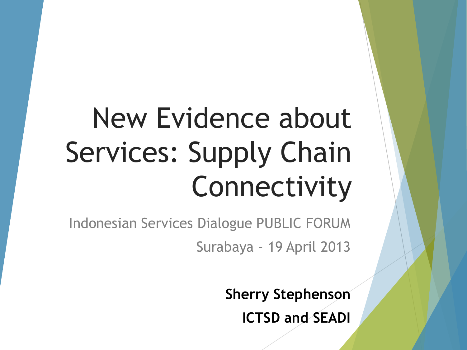# New Evidence about Services: Supply Chain Connectivity

Indonesian Services Dialogue PUBLIC FORUM Surabaya - 19 April 2013

> **Sherry Stephenson ICTSD and SEADI**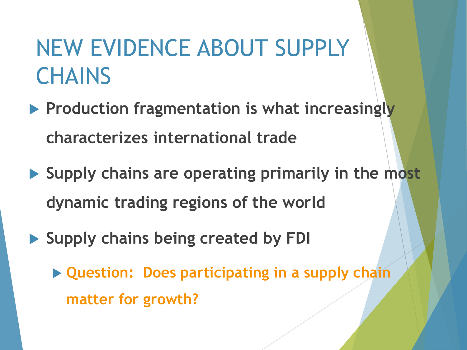## NEW EVIDENCE ABOUT SUPPLY **CHAINS**

- **Production fragmentation is what increasingly characterizes international trade**
- **Supply chains are operating primarily in the most dynamic trading regions of the world**
- **Supply chains being created by FDI** 
	- **Question: Does participating in a supply chain matter for growth?**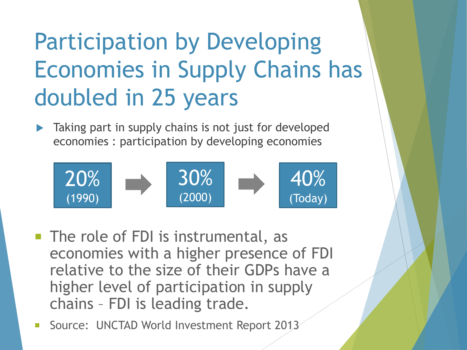## Participation by Developing Economies in Supply Chains has doubled in 25 years

 Taking part in supply chains is not just for developed economies : participation by developing economies



- The role of FDI is instrumental, as economies with a higher presence of FDI relative to the size of their GDPs have a higher level of participation in supply chains – FDI is leading trade.
- Source: UNCTAD World Investment Report 2013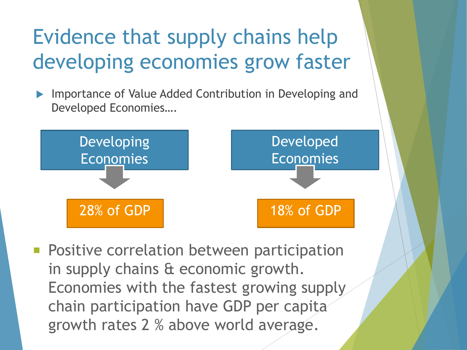## Evidence that supply chains help developing economies grow faster

 Importance of Value Added Contribution in Developing and Developed Economies….



**Positive correlation between participation** in supply chains & economic growth. Economies with the fastest growing supply chain participation have GDP per capita growth rates 2 % above world average.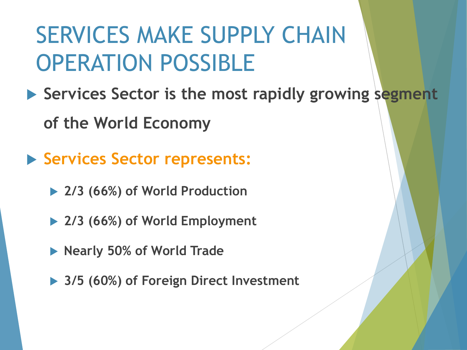## SERVICES MAKE SUPPLY CHAIN OPERATION POSSIBLE

- ▶ Services Sector is the most rapidly growing segment **of the World Economy**
- **Services Sector represents:**
	- **2/3 (66%) of World Production**
	- **2/3 (66%) of World Employment**
	- **Nearly 50% of World Trade**
	- **3/5 (60%) of Foreign Direct Investment**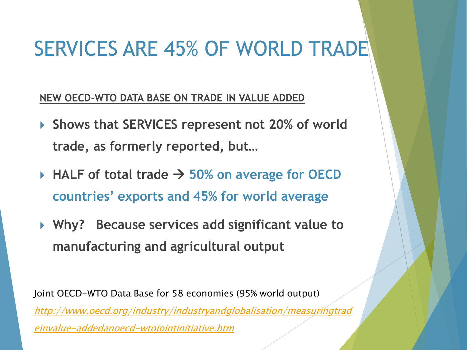### SERVICES ARE 45% OF WORLD TRADE

**NEW OECD-WTO DATA BASE ON TRADE IN VALUE ADDED**

- **Shows that SERVICES represent not 20% of world trade, as formerly reported, but…**
- $\triangleright$  HALF of total trade  $\rightarrow$  50% on average for OECD **countries' exports and 45% for world average**
- **Why? Because services add significant value to manufacturing and agricultural output**

Joint OECD-WTO Data Base for 58 economies (95% world output) [http://www.oecd.org/industry/industryandglobalisation/measuringtrad](http://www.oecd.org/industry/industryandglobalisation/measuringtradeinvalue-addedanoecd-wtojointinitiative.htm) [einvalue-addedanoecd-wtojointinitiative.htm](http://www.oecd.org/industry/industryandglobalisation/measuringtradeinvalue-addedanoecd-wtojointinitiative.htm)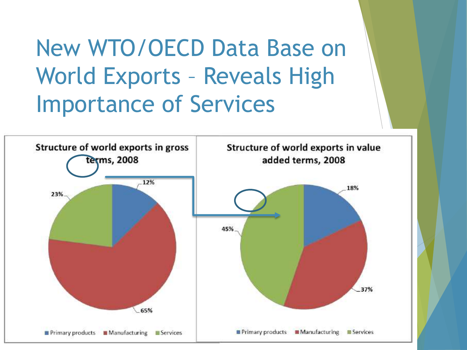New WTO/OECD Data Base on World Exports – Reveals High Importance of Services

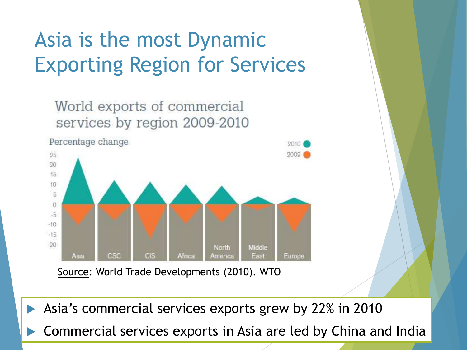### Asia is the most Dynamic Exporting Region for Services



Asia's commercial services exports grew by 22% in 2010

Commercial services exports in Asia are led by China and India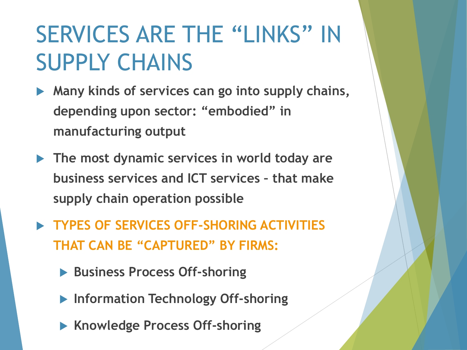## SERVICES ARE THE "LINKS" IN SUPPLY CHAINS

- **Many kinds of services can go into supply chains, depending upon sector: "embodied" in manufacturing output**
- **The most dynamic services in world today are business services and ICT services – that make supply chain operation possible**
- **TYPES OF SERVICES OFF-SHORING ACTIVITIES THAT CAN BE "CAPTURED" BY FIRMS:** 
	- **Business Process Off-shoring**
	- **Information Technology Off-shoring**
	- **Knowledge Process Off-shoring**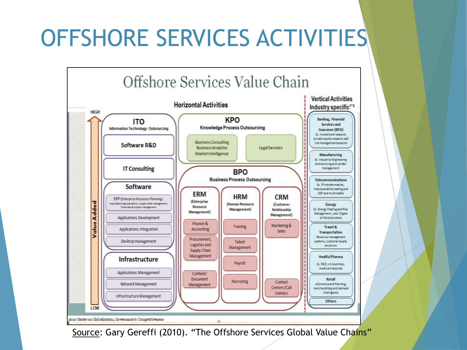## OFFSHORE SERVICES ACTIVITIES



Source: Gary Gereffi (2010). "The Offshore Services Global Value Chains"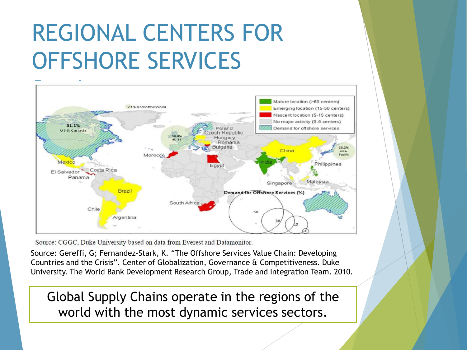## REGIONAL CENTERS FOR OFFSHORE SERVICES



Source: CGGC, Duke University based on data from Everest and Datamonitor.

Source: Gereffi, G; Fernandez-Stark, K. "The Offshore Services Value Chain: Developing Countries and the Crisis". Center of Globalization, Governance & Competitiveness. Duke University. The World Bank Development Research Group, Trade and Integration Team. 2010.

Global Supply Chains operate in the regions of the world with the most dynamic services sectors.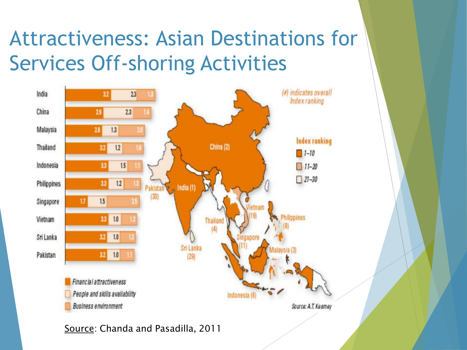### Attractiveness: Asian Destinations for Services Off-shoring Activities



Source: Chanda and Pasadilla, 2011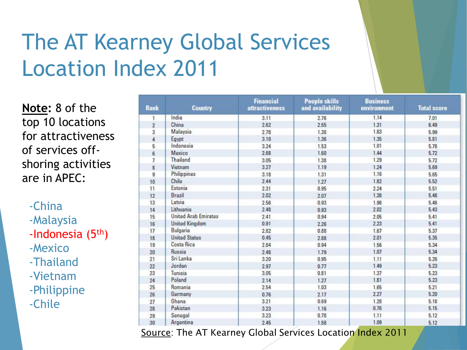## The AT Kearney Global Services Location Index 2011

**Note:** 8 of the top 10 locations for attractiveness of services offshoring activities are in APEC:

 -China -Malaysia -Indonesia (5th) -Mexico -Thailand -Vietnam -Philippine -Chile

| <b>Rank</b>    | <b>Country</b>              | <b>Financial</b><br>attractiveness | <b>People skills</b><br>and availability | <b>Business</b><br>environment | <b>Total score</b> |
|----------------|-----------------------------|------------------------------------|------------------------------------------|--------------------------------|--------------------|
| 1              | India                       | 3.11                               | 2.76                                     | 1.14                           | 7.01               |
| $\overline{2}$ | China                       | 2.62                               | 2.55                                     | 1.31                           | 6.49               |
| 3              | Malaysia                    | 2.78                               | 1.38                                     | 1.83                           | 5.99               |
| $\ddot{4}$     | Egypt                       | 3.10                               | 1.36                                     | 1.35                           | 5.81               |
| 5              | Indonesia                   | 3.24                               | 1.53                                     | 1.01                           | 5.78               |
| 6              | Mexico                      | 2.68                               | 1.60                                     | 1.44                           | 5.72               |
| $\overline{1}$ | Thailand                    | 3.05                               | 1.38                                     | 1.29                           | 5.72               |
| 8              | Vietnam                     | 3.27                               | 1.19                                     | 1.24                           | 5.69               |
| 9              | Philippines                 | 3.18                               | 1.31                                     | 1.16                           | 5.65               |
| 10             | Chile                       | 2.44                               | 1.27                                     | 1.82                           | 5.52               |
| 11             | Estonia                     | 2.31                               | 0.95                                     | 2.24                           | 5.51               |
| 12             | Brazil                      | 2.02                               | 2.07                                     | 1.38                           | 5.48               |
| 13             | Latvia                      | 2.56                               | 0.93                                     | 1.96                           | 5.46               |
| 14             | Lithuania                   | 2.48                               | 0.93                                     | 2.02                           | 5.43               |
| 15             | <b>United Arab Emirates</b> | 2.41                               | 0.94                                     | 2.05                           | 5.41               |
| 16             | <b>United Kingdom</b>       | 0.91                               | 2.26                                     | 2.23                           | 5.41               |
| 17             | Bulgaria                    | 2.82                               | 0.88                                     | 1.67                           | 5.37               |
| 18             | <b>United States</b>        | 0.45                               | 2.88                                     | 2.01                           | 5.35               |
| 19             | Costa Rica                  | 2.84                               | 0.94                                     | 1.56                           | 5.34               |
| 20             | Russia                      | 2.48                               | 1.79                                     | 1.07                           | 5.34               |
| 21             | Sri Lanka                   | 3.20                               | 0.95                                     | 1.11                           | 5.26               |
| 22             | Jordan                      | 2.97                               | 0.77                                     | 1.49                           | 5.23               |
| 23             | Tunisia                     | 3.05                               | 0.81                                     | 1.37                           | 5.23               |
| 24             | Poland                      | 2.14                               | 1.27                                     | 1.81                           | 5.23               |
| 25             | Romania                     | 2.54                               | 1.03                                     | 1.65                           | 5.21               |
| 26             | Germany                     | 0.76                               | 2.17                                     | 2.27                           | 5.20               |
| 27             | Ghana                       | 3.21                               | 0.69                                     | 1.28                           | 5.18               |
| 28             | Pakistan                    | 3.23                               | 1.16                                     | 0.76                           | 5.15               |
| 29             | Senegal                     | 3.23                               | 0.78                                     | 1.11                           | 5.12               |
| 30             | Argentina                   | 2.45                               | 1.58                                     | 1.09                           | 5.12               |

Source: The AT Kearney Global Services Location Index 2011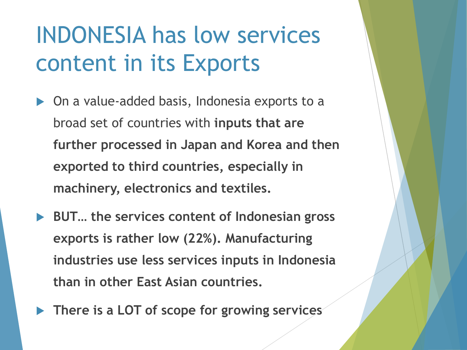## INDONESIA has low services content in its Exports

- ▶ On a value-added basis, Indonesia exports to a broad set of countries with **inputs that are further processed in Japan and Korea and then exported to third countries, especially in machinery, electronics and textiles.**
- **BUT… the services content of Indonesian gross exports is rather low (22%). Manufacturing industries use less services inputs in Indonesia than in other East Asian countries.**
- **There is a LOT of scope for growing services**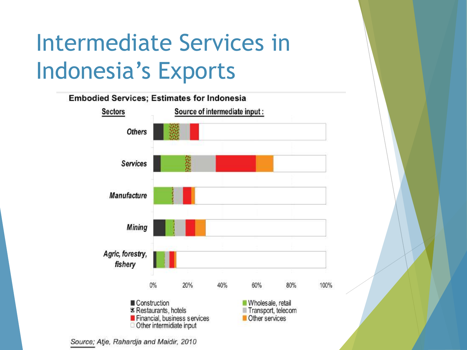## Intermediate Services in Indonesia's Exports



Source; Atje, Rahardja and Maidir, 2010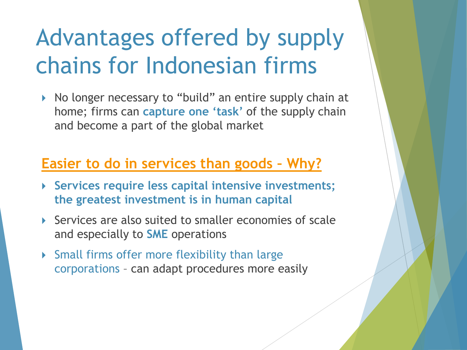## Advantages offered by supply chains for Indonesian firms

▶ No longer necessary to "build" an entire supply chain at home; firms can **capture one 'task'** of the supply chain and become a part of the global market

#### **Easier to do in services than goods – Why?**

- **Services require less capital intensive investments; the greatest investment is in human capital**
- ▶ Services are also suited to smaller economies of scale and especially to **SME** operations
- Small firms offer more flexibility than large corporations – can adapt procedures more easily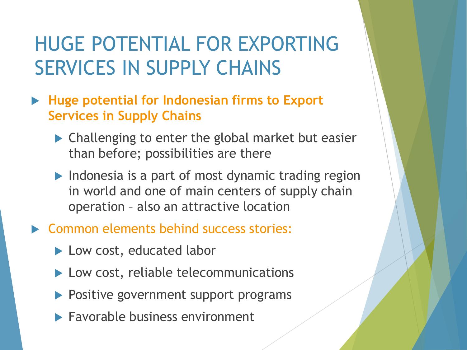### HUGE POTENTIAL FOR EXPORTING SERVICES IN SUPPLY CHAINS

- **Huge potential for Indonesian firms to Export Services in Supply Chains** 
	- ▶ Challenging to enter the global market but easier than before; possibilities are there
	- $\blacktriangleright$  Indonesia is a part of most dynamic trading region in world and one of main centers of supply chain operation – also an attractive location
- **EX Common elements behind success stories:** 
	- ▶ Low cost, educated labor
	- ▶ Low cost, reliable telecommunications
	- ▶ Positive government support programs
	- $\blacktriangleright$  Favorable business environment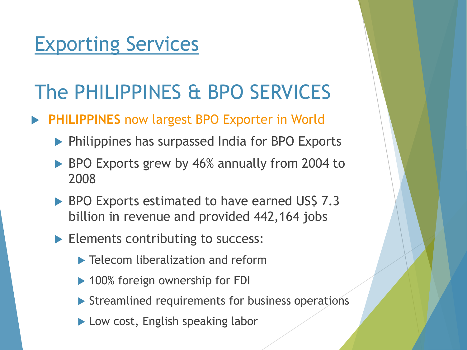### Exporting Services

### The PHILIPPINES & BPO SERVICES

#### **PHILIPPINES** now largest BPO Exporter in World

- **Philippines has surpassed India for BPO Exports**
- BPO Exports grew by 46% annually from 2004 to 2008
- BPO Exports estimated to have earned US\$ 7.3 billion in revenue and provided 442,164 jobs
- Elements contributing to success:
	- **Telecom liberalization and reform**
	- ▶ 100% foreign ownership for FDI
	- Streamlined requirements for business operations
	- ▶ Low cost, English speaking labor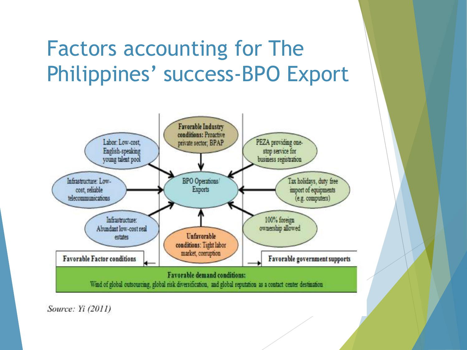### Factors accounting for The Philippines' success-BPO Export



Source: Yi (2011)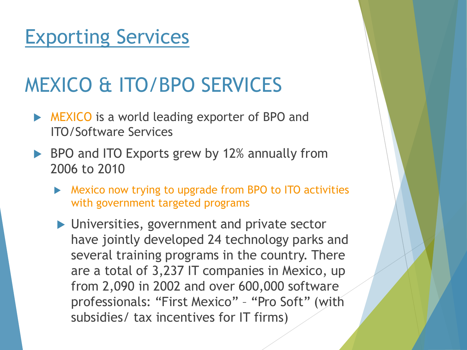### Exporting Services

### MEXICO & ITO/BPO SERVICES

- **NEXICO** is a world leading exporter of BPO and ITO/Software Services
- ▶ BPO and ITO Exports grew by 12% annually from 2006 to 2010
	- **Mexico now trying to upgrade from BPO to ITO activities** with government targeted programs
	- **IDURITY DETECT:** Drivate sector have jointly developed 24 technology parks and several training programs in the country. There are a total of 3,237 IT companies in Mexico, up from 2,090 in 2002 and over 600,000 software professionals: "First Mexico" – "Pro Soft" (with subsidies/ tax incentives for IT firms)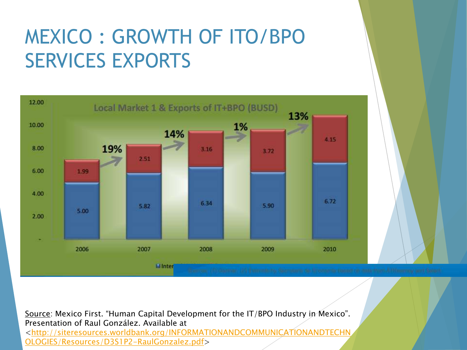### MEXICO : GROWTH OF ITO/BPO SERVICES EXPORTS



Source: Mexico First. "Human Capital Development for the IT/BPO Industry in Mexico". Presentation of Raul González. Available at [<http://siteresources.worldbank.org/INFORMATIONANDCOMMUNICATIONANDTECHN](http://siteresources.worldbank.org/INFORMATIONANDCOMMUNICATIONANDTECHNOLOGIES/Resources/D3S1P2-RaulGonzalez.pdf) [OLOGIES/Resources/D3S1P2-RaulGonzalez.pdf](http://siteresources.worldbank.org/INFORMATIONANDCOMMUNICATIONANDTECHNOLOGIES/Resources/D3S1P2-RaulGonzalez.pdf)>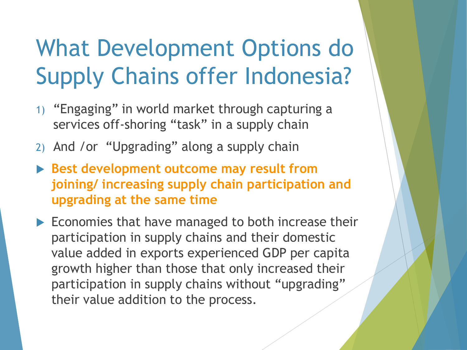## What Development Options do Supply Chains offer Indonesia?

- 1) "Engaging" in world market through capturing a services off-shoring "task" in a supply chain
- 2) And /or "Upgrading" along a supply chain
- **Best development outcome may result from joining/ increasing supply chain participation and upgrading at the same time**
- $\blacktriangleright$  Economies that have managed to both increase their participation in supply chains and their domestic value added in exports experienced GDP per capita growth higher than those that only increased their participation in supply chains without "upgrading" their value addition to the process.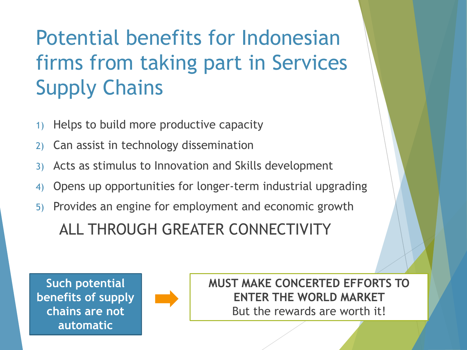### Potential benefits for Indonesian firms from taking part in Services Supply Chains

- 1) Helps to build more productive capacity
- 2) Can assist in technology dissemination
- 3) Acts as stimulus to Innovation and Skills development
- 4) Opens up opportunities for longer-term industrial upgrading
- 5) Provides an engine for employment and economic growth

#### ALL THROUGH GREATER CONNECTIVITY





**MUST MAKE CONCERTED EFFORTS TO ENTER THE WORLD MARKET**  But the rewards are worth it!